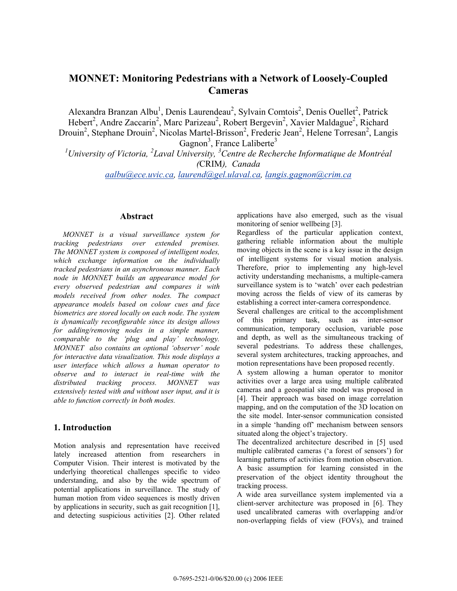# **MONNET: Monitoring Pedestrians with a Network of Loosely-Coupled Cameras**

Alexandra Branzan Albu<sup>1</sup>, Denis Laurendeau<sup>2</sup>, Sylvain Comtois<sup>2</sup>, Denis Ouellet<sup>2</sup>, Patrick Hebert<sup>2</sup>, Andre Zaccarin<sup>2</sup>, Marc Parizeau<sup>2</sup>, Robert Bergevin<sup>2</sup>, Xavier Maldague<sup>2</sup>, Richard Drouin<sup>2</sup>, Stephane Drouin<sup>2</sup>, Nicolas Martel-Brisson<sup>2</sup>, Frederic Jean<sup>2</sup>, Helene Torresan<sup>2</sup>, Langis Gagnon<sup>3</sup>, France Laliberte<sup>3</sup>

<sup>1</sup> University of Victoria, <sup>2</sup> Laval University, <sup>3</sup> Centre de Recherche Informatique de Montréal *(*CRIM*), Canada* 

*aalbu@ece.uvic.ca, laurend@gel.ulaval.ca, langis.gagnon@crim.ca*

#### **Abstract**

*MONNET is a visual surveillance system for tracking pedestrians over extended premises. The MONNET system is composed of intelligent nodes, which exchange information on the individually tracked pedestrians in an asynchronous manner. Each node in MONNET builds an appearance model for every observed pedestrian and compares it with models received from other nodes. The compact appearance models based on colour cues and face biometrics are stored locally on each node. The system is dynamically reconfigurable since its design allows for adding/removing nodes in a simple manner, comparable to the 'plug and play' technology. MONNET also contains an optional 'observer' node for interactive data visualization. This node displays a user interface which allows a human operator to observe and to interact in real-time with the distributed tracking process. MONNET was extensively tested with and without user input, and it is able to function correctly in both modes.* 

#### **1. Introduction**

Motion analysis and representation have received lately increased attention from researchers in Computer Vision. Their interest is motivated by the underlying theoretical challenges specific to video understanding, and also by the wide spectrum of potential applications in surveillance. The study of human motion from video sequences is mostly driven by applications in security, such as gait recognition [1], and detecting suspicious activities [2]. Other related applications have also emerged, such as the visual monitoring of senior wellbeing [3].

Regardless of the particular application context, gathering reliable information about the multiple moving objects in the scene is a key issue in the design of intelligent systems for visual motion analysis. Therefore, prior to implementing any high-level activity understanding mechanisms, a multiple-camera surveillance system is to 'watch' over each pedestrian moving across the fields of view of its cameras by establishing a correct inter-camera correspondence.

Several challenges are critical to the accomplishment of this primary task, such as inter-sensor communication, temporary occlusion, variable pose and depth, as well as the simultaneous tracking of several pedestrians. To address these challenges, several system architectures, tracking approaches, and motion representations have been proposed recently.

A system allowing a human operator to monitor activities over a large area using multiple calibrated cameras and a geospatial site model was proposed in [4]. Their approach was based on image correlation mapping, and on the computation of the 3D location on the site model. Inter-sensor communication consisted in a simple 'handing off' mechanism between sensors situated along the object's trajectory.

The decentralized architecture described in [5] used multiple calibrated cameras ('a forest of sensors') for learning patterns of activities from motion observation. A basic assumption for learning consisted in the preservation of the object identity throughout the tracking process.

A wide area surveillance system implemented via a client-server architecture was proposed in [6]. They used uncalibrated cameras with overlapping and/or non-overlapping fields of view (FOVs), and trained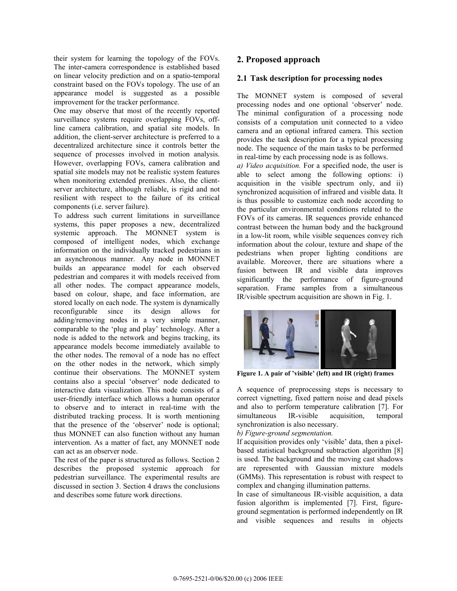their system for learning the topology of the FOVs. The inter-camera correspondence is established based on linear velocity prediction and on a spatio-temporal constraint based on the FOVs topology. The use of an appearance model is suggested as a possible improvement for the tracker performance.

One may observe that most of the recently reported surveillance systems require overlapping FOVs, offline camera calibration, and spatial site models. In addition, the client-server architecture is preferred to a decentralized architecture since it controls better the sequence of processes involved in motion analysis. However, overlapping FOVs, camera calibration and spatial site models may not be realistic system features when monitoring extended premises. Also, the clientserver architecture, although reliable, is rigid and not resilient with respect to the failure of its critical components (i.e. server failure).

To address such current limitations in surveillance systems, this paper proposes a new, decentralized systemic approach. The MONNET system is composed of intelligent nodes, which exchange information on the individually tracked pedestrians in an asynchronous manner. Any node in MONNET builds an appearance model for each observed pedestrian and compares it with models received from all other nodes. The compact appearance models, based on colour, shape, and face information, are stored locally on each node. The system is dynamically reconfigurable since its design allows for adding/removing nodes in a very simple manner, comparable to the 'plug and play' technology. After a node is added to the network and begins tracking, its appearance models become immediately available to the other nodes. The removal of a node has no effect on the other nodes in the network, which simply continue their observations. The MONNET system contains also a special 'observer' node dedicated to interactive data visualization. This node consists of a user-friendly interface which allows a human operator to observe and to interact in real-time with the distributed tracking process. It is worth mentioning that the presence of the 'observer' node is optional; thus MONNET can also function without any human intervention. As a matter of fact, any MONNET node can act as an observer node.

The rest of the paper is structured as follows. Section 2 describes the proposed systemic approach for pedestrian surveillance. The experimental results are discussed in section 3. Section 4 draws the conclusions and describes some future work directions.

### **2. Proposed approach**

### **2.1 Task description for processing nodes**

The MONNET system is composed of several processing nodes and one optional 'observer' node. The minimal configuration of a processing node consists of a computation unit connected to a video camera and an optional infrared camera. This section provides the task description for a typical processing node. The sequence of the main tasks to be performed in real-time by each processing node is as follows.

*a) Video acquisition.* For a specified node, the user is able to select among the following options: i) acquisition in the visible spectrum only, and ii) synchronized acquisition of infrared and visible data. It is thus possible to customize each node according to the particular environmental conditions related to the FOVs of its cameras. IR sequences provide enhanced contrast between the human body and the background in a low-lit room, while visible sequences convey rich information about the colour, texture and shape of the pedestrians when proper lighting conditions are available. Moreover, there are situations where a fusion between IR and visible data improves significantly the performance of figure-ground separation. Frame samples from a simultaneous IR/visible spectrum acquisition are shown in Fig. 1.



**Figure 1. A pair of 'visible' (left) and IR (right) frames** 

A sequence of preprocessing steps is necessary to correct vignetting, fixed pattern noise and dead pixels and also to perform temperature calibration [7]. For simultaneous IR-visible acquisition, temporal synchronization is also necessary.

#### *b) Figure-ground segmentation.*

If acquisition provides only 'visible' data, then a pixelbased statistical background subtraction algorithm [8] is used. The background and the moving cast shadows are represented with Gaussian mixture models (GMMs). This representation is robust with respect to complex and changing illumination patterns.

In case of simultaneous IR-visible acquisition, a data fusion algorithm is implemented [7]. First, figureground segmentation is performed independently on IR and visible sequences and results in objects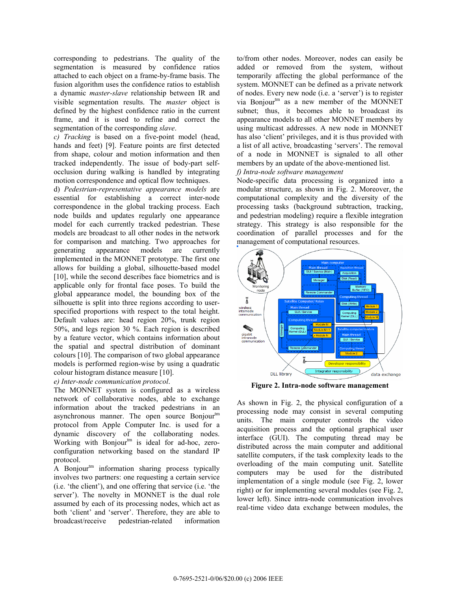corresponding to pedestrians. The quality of the segmentation is measured by confidence ratios attached to each object on a frame-by-frame basis. The fusion algorithm uses the confidence ratios to establish a dynamic *master-slave* relationship between IR and visible segmentation results. The *master* object is defined by the highest confidence ratio in the current frame, and it is used to refine and correct the segmentation of the corresponding *slave*.

*c) Tracking* is based on a five-point model (head, hands and feet) [9]. Feature points are first detected from shape, colour and motion information and then tracked independently. The issue of body-part selfocclusion during walking is handled by integrating motion correspondence and optical flow techniques.

d) *Pedestrian-representative appearance models* are essential for establishing a correct inter-node correspondence in the global tracking process. Each node builds and updates regularly one appearance model for each currently tracked pedestrian. These models are broadcast to all other nodes in the network for comparison and matching. Two approaches for generating appearance models are currently implemented in the MONNET prototype. The first one allows for building a global, silhouette-based model [10], while the second describes face biometrics and is applicable only for frontal face poses. To build the global appearance model, the bounding box of the silhouette is split into three regions according to userspecified proportions with respect to the total height. Default values are: head region 20%, trunk region 50%, and legs region 30 %. Each region is described by a feature vector, which contains information about the spatial and spectral distribution of dominant colours [10]. The comparison of two global appearance models is performed region-wise by using a quadratic colour histogram distance measure [10].

*e) Inter-node communication protocol*.

The MONNET system is configured as a wireless network of collaborative nodes, able to exchange information about the tracked pedestrians in an asynchronous manner. The open source Bonjour<sup>tm</sup> protocol from Apple Computer Inc. is used for a dynamic discovery of the collaborating nodes. Working with Bonjour<sup>tm</sup> is ideal for ad-hoc, zeroconfiguration networking based on the standard IP protocol.

A Bonjour<sup>tm</sup> information sharing process typically involves two partners: one requesting a certain service (i.e. 'the client'), and one offering that service (i.e. 'the server'). The novelty in MONNET is the dual role assumed by each of its processing nodes, which act as both 'client' and 'server'. Therefore, they are able to broadcast/receive pedestrian-related information

to/from other nodes. Moreover, nodes can easily be added or removed from the system, without temporarily affecting the global performance of the system. MONNET can be defined as a private network of nodes. Every new node (i.e. a 'server') is to register via Bonjour<sup>tm</sup> as a new member of the MONNET subnet; thus, it becomes able to broadcast its appearance models to all other MONNET members by using multicast addresses. A new node in MONNET has also 'client' privileges, and it is thus provided with a list of all active, broadcasting 'servers'. The removal of a node in MONNET is signaled to all other members by an update of the above-mentioned list. *f) Intra-node software management*

Node-specific data processing is organized into a modular structure, as shown in Fig. 2. Moreover, the computational complexity and the diversity of the processing tasks (background subtraction, tracking, and pedestrian modeling) require a flexible integration strategy. This strategy is also responsible for the coordination of parallel processes and for the management of computational resources.



**Figure 2. Intra-node software management** 

As shown in Fig. 2, the physical configuration of a processing node may consist in several computing units. The main computer controls the video acquisition process and the optional graphical user interface (GUI). The computing thread may be distributed across the main computer and additional satellite computers, if the task complexity leads to the overloading of the main computing unit. Satellite computers may be used for the distributed implementation of a single module (see Fig. 2, lower right) or for implementing several modules (see Fig. 2, lower left). Since intra-node communication involves real-time video data exchange between modules, the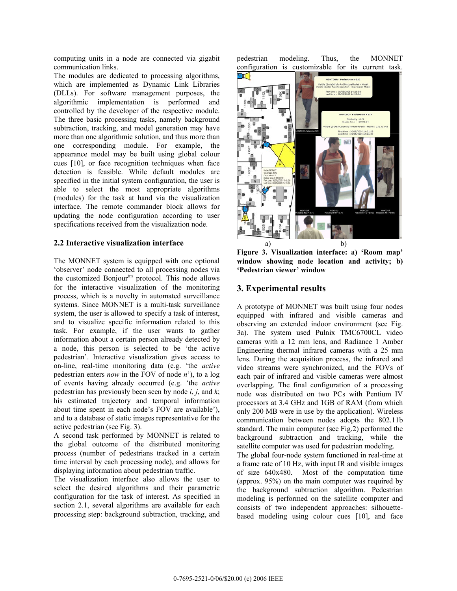computing units in a node are connected via gigabit communication links.

The modules are dedicated to processing algorithms, which are implemented as Dynamic Link Libraries (DLLs). For software management purposes, the algorithmic implementation is performed and controlled by the developer of the respective module. The three basic processing tasks, namely background subtraction, tracking, and model generation may have more than one algorithmic solution, and thus more than one corresponding module. For example, the appearance model may be built using global colour cues [10], or face recognition techniques when face detection is feasible. While default modules are specified in the initial system configuration, the user is able to select the most appropriate algorithms (modules) for the task at hand via the visualization interface. The remote commander block allows for updating the node configuration according to user specifications received from the visualization node.

#### **2.2 Interactive visualization interface**

The MONNET system is equipped with one optional 'observer' node connected to all processing nodes via the customized Bonjour<sup>tm</sup> protocol. This node allows for the interactive visualization of the monitoring process, which is a novelty in automated surveillance systems. Since MONNET is a multi-task surveillance system, the user is allowed to specify a task of interest, and to visualize specific information related to this task. For example, if the user wants to gather information about a certain person already detected by a node, this person is selected to be 'the active pedestrian'. Interactive visualization gives access to on-line, real-time monitoring data (e.g. 'the *active*  pedestrian enters *now* in the FOV of node *n*'), to a log of events having already occurred (e.g. 'the *active* pedestrian has previously been seen by node *i*, *j*, and *k*; his estimated trajectory and temporal information about time spent in each node's FOV are available'), and to a database of static images representative for the active pedestrian (see Fig. 3).

A second task performed by MONNET is related to the global outcome of the distributed monitoring process (number of pedestrians tracked in a certain time interval by each processing node), and allows for displaying information about pedestrian traffic.

The visualization interface also allows the user to select the desired algorithms and their parametric configuration for the task of interest. As specified in section 2.1, several algorithms are available for each processing step: background subtraction, tracking, and pedestrian modeling. Thus, the MONNET configuration is customizable for its current task.



**Figure 3. Visualization interface: a) 'Room map' window showing node location and activity; b) 'Pedestrian viewer' window** 

## **3. Experimental results**

A prototype of MONNET was built using four nodes equipped with infrared and visible cameras and observing an extended indoor environment (see Fig. 3a). The system used Pulnix TMC6700CL video cameras with a 12 mm lens, and Radiance 1 Amber Engineering thermal infrared cameras with a 25 mm lens. During the acquisition process, the infrared and video streams were synchronized, and the FOVs of each pair of infrared and visible cameras were almost overlapping. The final configuration of a processing node was distributed on two PCs with Pentium IV processors at 3.4 GHz and 1GB of RAM (from which only 200 MB were in use by the application). Wireless communication between nodes adopts the 802.11b standard. The main computer (see Fig.2) performed the background subtraction and tracking, while the satellite computer was used for pedestrian modeling.

The global four-node system functioned in real-time at a frame rate of 10 Hz, with input IR and visible images of size 640x480. Most of the computation time (approx. 95%) on the main computer was required by the background subtraction algorithm. Pedestrian modeling is performed on the satellite computer and consists of two independent approaches: silhouettebased modeling using colour cues [10], and face